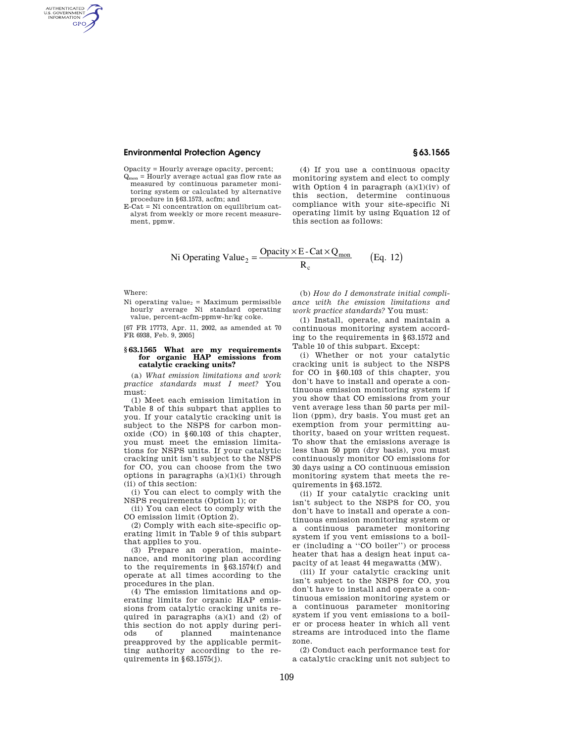## **Environmental Protection Agency § 63.1565**

Opacity = Hourly average opacity, percent;

Qmon = Hourly average actual gas flow rate as measured by continuous parameter monitoring system or calculated by alternative procedure in §63.1573, acfm; and

E-Cat = Ni concentration on equilibrium catalyst from weekly or more recent measurement, ppmw.

(4) If you use a continuous opacity monitoring system and elect to comply with Option 4 in paragraph  $(a)(1)(iv)$  of this section, determine continuous compliance with your site-specific Ni operating limit by using Equation 12 of this section as follows:

Ni Operating Value<sub>2</sub> = 
$$
\frac{O\text{parity} \times E - \text{Cat} \times Q_{\text{mon}}}{R_c}
$$
 (Eq. 12)

Where:

AUTHENTICATED<br>U.S. GOVERNMENT<br>INFORMATION **GPO** 

> Ni operating value<sub>2</sub> = Maximum permissible hourly average Ni standard operating value, percent-acfm-ppmw-hr/kg coke.

> [67 FR 17773, Apr. 11, 2002, as amended at 70 FR 6938, Feb. 9, 2005]

## **§ 63.1565 What are my requirements for organic HAP emissions from catalytic cracking units?**

(a) *What emission limitations and work practice standards must I meet?* You must:

(1) Meet each emission limitation in Table 8 of this subpart that applies to you. If your catalytic cracking unit is subject to the NSPS for carbon monoxide (CO) in §60.103 of this chapter, you must meet the emission limitations for NSPS units. If your catalytic cracking unit isn't subject to the NSPS for CO, you can choose from the two options in paragraphs  $(a)(1)(i)$  through (ii) of this section:

(i) You can elect to comply with the NSPS requirements (Option 1); or

(ii) You can elect to comply with the CO emission limit (Option 2).

(2) Comply with each site-specific operating limit in Table 9 of this subpart that applies to you.

(3) Prepare an operation, maintenance, and monitoring plan according to the requirements in §63.1574(f) and operate at all times according to the procedures in the plan.

(4) The emission limitations and operating limits for organic HAP emissions from catalytic cracking units required in paragraphs  $(a)(1)$  and  $(2)$  of this section do not apply during perimaintenance preapproved by the applicable permitting authority according to the requirements in §63.1575(j).

(b) *How do I demonstrate initial compliance with the emission limitations and work practice standards?* You must:

(1) Install, operate, and maintain a continuous monitoring system according to the requirements in §63.1572 and Table 10 of this subpart. Except:

(i) Whether or not your catalytic cracking unit is subject to the NSPS for CO in §60.103 of this chapter, you don't have to install and operate a continuous emission monitoring system if you show that CO emissions from your vent average less than 50 parts per million (ppm), dry basis. You must get an exemption from your permitting authority, based on your written request. To show that the emissions average is less than 50 ppm (dry basis), you must continuously monitor CO emissions for 30 days using a CO continuous emission monitoring system that meets the requirements in §63.1572.

(ii) If your catalytic cracking unit isn't subject to the NSPS for CO, you don't have to install and operate a continuous emission monitoring system or a continuous parameter monitoring system if you vent emissions to a boiler (including a ''CO boiler'') or process heater that has a design heat input capacity of at least 44 megawatts (MW).

(iii) If your catalytic cracking unit isn't subject to the NSPS for CO, you don't have to install and operate a continuous emission monitoring system or a continuous parameter monitoring system if you vent emissions to a boiler or process heater in which all vent streams are introduced into the flame zone.

(2) Conduct each performance test for a catalytic cracking unit not subject to